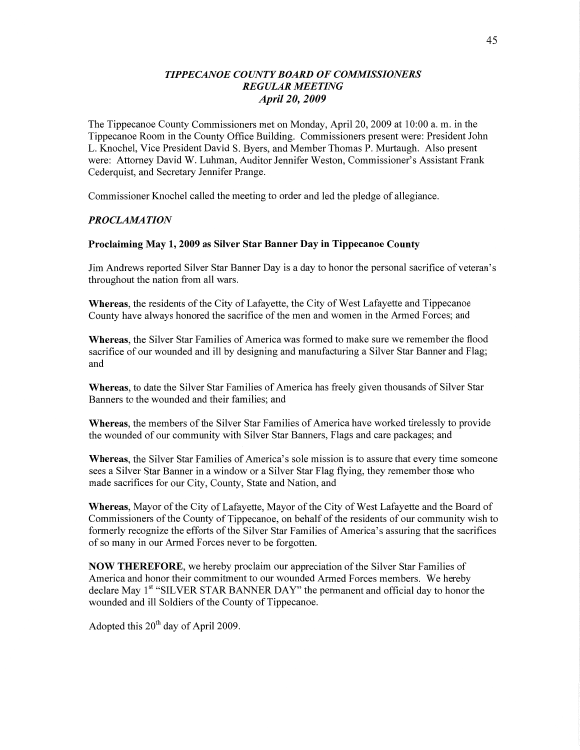# *TIPPECANOE COUNT Y BOARD* OF *COMMISSIONERS REGULAR MEETING April* 20, *2009*

The Tippecanoe County Commissioners met on Monday, April 20, 2009 at 10:00 a. m. in the Tippecanoe Room in the County Office Building. Commissioners present were: President John L. Knochel, Vice President David S. Byers, and Member Thomas P. Murtaugh. Also present were: Attorney **David** W. Luhman, Auditor Jennifer Weston, Commissioner's Assistant Frank Cederquist, and Secretary Jennifer Prange.

Commissioner Knochel called the meeting to order and led the pledge of allegiance.

### *PROCLAAIA TION*

#### **Proclaiming** May 1, **2009** as Silver **Star Banner** Day in **Tippecanoe County**

Jim Andrews reported Silver Star Banner Day is a day to honor the personal sacrifice of veteran's throughout the nation from all wars.

Whereas, the residents of the City of Lafayette, the City of West Lafayette and Tippecanoe County have always honored the sacrifice of the men and women in the Armed Forces; and

**Whereas,** the Silver Star Families of America was formed to make sure we remember the flood sacrifice of our wounded and ill by designing and manufacturing a Silver Star Banner and Flag; and

**Whereas,** to date the Silver Star Families of America has freely given thousands of Silver Star Banners to the wounded and their families; and

**Whereas,** the members of the Silver Star Families of America have worked tirelessly to provide the wounded of our community with Silver Star Banners, Flags and care packages; and

**Whereas,** the Silver Star Families of America's sole mission is to assure that every time someone sees **<sup>a</sup>**Silver Star Banner in **a** Window or <sup>a</sup>Silver Star Flag flying, they remember those who made sacrifices for our City, County, State and Nation, and

**Whereas,** Mayor of the City of Lafayette, Mayor of the City of West Lafayette and the Board of Commissioners of the County of Tippecanoe, on behalf of the residents of our community wish to formerly recognize the efforts of the Silver Star Families of America's assuring that the sacrifices of so many in our Armed Forces never to be forgotten.

NOW **THEREFORE,** we hereby proclaim our appreciation of the Silver Star Families of America and honor their commitment to our wounded Armed Forces members. We hereby declare May 1<sup>st</sup> "SILVER STAR BANNER DAY" the permanent and official day to honor the wounded and ill Soldiers of the County of Tippecanoe.

Adopted this  $20^{th}$  day of April 2009.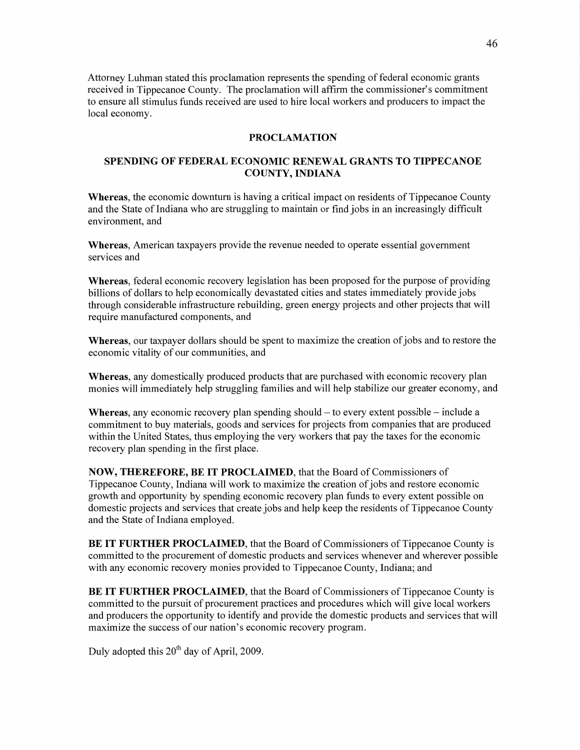Attorney Luhman stated this proclamation represents the spending of federal economic grants received in Tippecanoe County. The proclamation will affirm the commissioner's commitment to ensure all stimulus funds received are used to hire local workers and producers to impact the local economy.

#### **PROCLAMATION**

### **SPENDING OF FEDERAL ECONOMIC RENEWAL GRANTS TO TIPPECANOE COUNTY, INDIANA**

**Whereas,** the economic downturn is having a critical impact on residents of Tippecanoe County and the State of Indiana who are struggling to **maintain** or find jobs in an increasingly difficult environment, and

**Whereas,** American taxpayers provide the revenue needed to operate essential government services and

**Whereas,** federal economic recovery legislation has been proposed for the purpose of providing billions of dollars to **help** economically devastated cities and states immediately provide jobs through considerable infrastructure rebuilding, green energy projects and other projects that will require manufactured components, and

Whereas, our taxpayer dollars should be spent to maximize the creation of jobs and to restore the economic Vitality of our communities, and

**Whereas,** any domestically produced products that are purchased with economic recovery plan monies will immediately help struggling families and will help stabilize our greater economy, and

**Whereas,** any economic recovery plan spending should — to every extent possible - include <sup>a</sup> commitment to buy materials, goods and services for projects from companies that are produced within the United States, thus employing the very workers that pay the taxes for the economic recovery plan spending in the first place.

**NOW, THEREFORE,** BE IT **PROCLAIMED,** that the Board of Commissioners of Tippecanoe County, Indiana will work to maximize the creation of jobs and restore economic growth and opportunity by spending economic recovery plan funds to every extent possible on domestic projects and services that create jobs and **help** keep the residents of Tippecanoe County and the **State** of Indiana employed.

BE IT **FURTHER PROCLAIMED,** that the Board of Commissioners of Tippecanoe County is committed to the procurement of domestic products and services Whenever and wherever possible with any economic recovery monies provided to Tippecanoe County, Indiana; and

BE IT **FURTHER PROCLAIMED,** that the Board of Commissioners of Tippecanoe County is committed to the pursuit of procurement practices and procedures which will give local workers and producers the opportunity to identify and provide the domestic products and services that will maximize the success of our nation's economic recovery program.

Duly adopted this  $20^{th}$  day of April, 2009.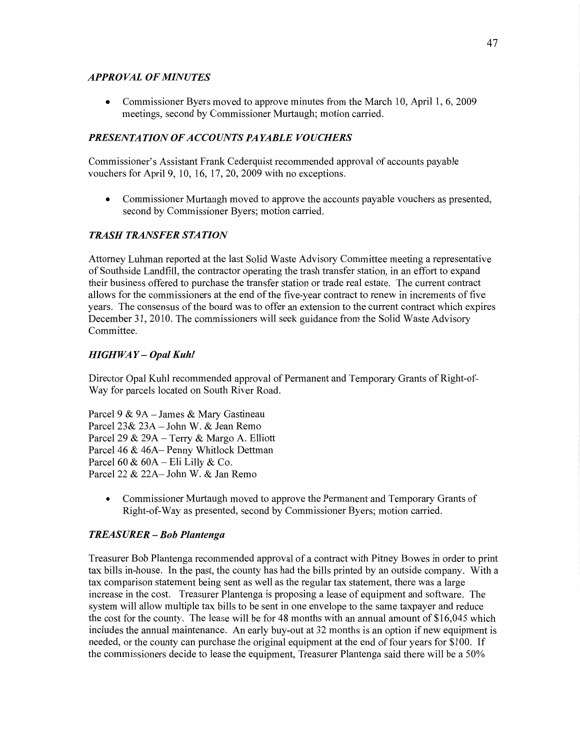### *APPROVAL* OF *MINUTES*

*0* Commissioner Byers moved to approve minutes from the **March** 10, **April** 1, 6, 2009 meetings, second by Commissioner Murtaugh; motion carried.

# **PRESENTATION OF ACCOUNTS PAYABLE VOUCHERS**

Commissioner's Assistant Frank Cederquist recommended approval of accounts payable vouchers for April 9, 10, 16, 17, 20, 2009 with no exceptions.

**0** Commissioner Murtaugh moved to approve the accounts payable vouchers as presented, second by Commissioner Byers; motion carried.

# *TRASH TRANSFER STATION*

Attorney Luhman reported at the last Solid Waste Advisory Committee meeting a representative of Southside **Landfill,** the contractor operating the trash transfer station, in an effort to expand **their** business offered to purchase the transfer station or trade real estate. The current contract allows for the commissioners at the end of the five-year contract to renew in increments of five years. The consensus of the board was to offer an extension to the current contract which expires December 31, 2010. The commissioners will seek guidance from the Solid Waste Advisory Committee.

# *HIGHWAY — Opal Kuhl*

Director Opal Kuhl recommended approval of Permanent and Temporary Grants of Right-of-Way for parcels located on South River Road.

Parcel **9** & 9A **—** James & Mary Gastineau Parcel 23& 23A *—* John W. & Jean Remo Parcel 29 & 29A — Terry & Margo A. Elliott Parcel 46 & 46A— Penny Whitlock **Dettman**  Parcel 60 **&** 60A **—** Eli Lilly & Co. Parcel 22 & 22A— John W. & Jan Remo

**0** Commissioner Murtaugh moved to approve the Permanent and Temporary Grants of Right-of-Way as presented, second by Commissioner Byers; motion carried.

# *TREASURER* **—** Bob *Plantenga*

Treasurer Bob Plantenga recommended approval of a contract with Pitney Bowes in order to print tax bills in-house. In the past, the county has had the bills printed by an outside company. With **<sup>a</sup>** tax comparison statement being sent as well as the regular tax statement, there was a large increase in the cost. Treasurer Plantenga is proposing a lease of equipment and software. The system will allow multiple tax bills to be sent in one envelope to the same taxpayer and reduce the cost for the county. The lease will be for 48 months with an annual amount of \$16,045 which includes the annual maintenance. An early buy-out at 32 months is an option if new equipment is needed, or the county can purchase the original equipment at the end of four years for \$100. If the commissioners decide to lease the equipment, Treasurer Plantenga said there will be a 50%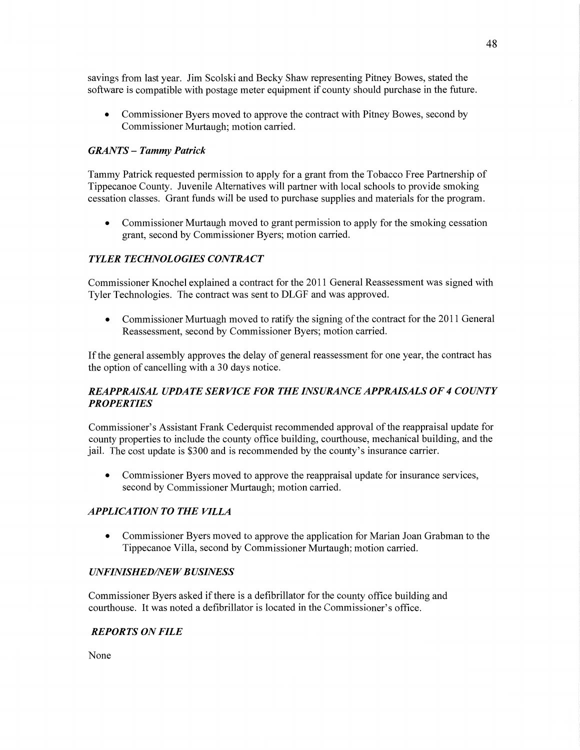savings from last year. Jim Scolski and Becky Shaw representing Pitney Bowes, stated the software is compatible with postage meter equipment if county should purchase in the future.

**0** Commissioner Byers moved to approve the contract with Pitney Bowes, second by Commissioner Murtaugh; motion carried.

#### *GRANTS* **—** *Tammy Patrick*

Tammy Patrick requested permission to apply for a grant from the Tobacco Free Partnership of Tippecanoe County. Juvenile Alternatives will partner with local schools to provide smoking cessation classes. Grant funds will be used to purchase supplies and materials for the program.

• Commissioner Murtaugh moved to grant permission to apply for the smoking cessation grant, second by Commissioner Byers; motion carried.

#### **TYLER TECHNOLOGIES CONTRACT**

Commissioner Knochel explained a contract for the 2011 General Reassessment was signed with Tyler Technologies. The contract was sent to DLGF and was approved.

• Commissioner Murtuagh moved to ratify the signing of the contract for the 2011 General Reassessment, second by Commissioner Byers; motion carried.

If the general assembly approves the delay of general reassessment for one year, the contract has the option of cancelling with a 30 days notice.

# *REAPPRAISAL UPDATE SERVICE* FOR THE *INSURANCE APPRAISALS* 0F *4 COUNTY PROPERTIES*

Commissioner's Assistant Frank Cederquist recommended approval of the reappraisal update for county properties to include the county office building, courthouse, mechanical building, and the jail. The cost update is \$3 00 and is recommended by the county's insurance carrier.

**0** Commissioner Byers moved to approve the reappraisal update for insurance services, second by Commissioner Murtaugh; motion carried.

#### *APPLICATION TO THE VILLA*

**0** Commissioner Byers moved to approve the application for Marian Joan Grabman to the Tippecanoe Villa, second by Commissioner Murtaugh; motion carried.

#### *UNFINISHED/NE W B USINESS*

Commissioner Byers asked if there is a defibrillator for the county office building and courthouse. It was noted a defibrillator is located in the Commissioner's office.

### *REPORTS* ON *FILE*

None